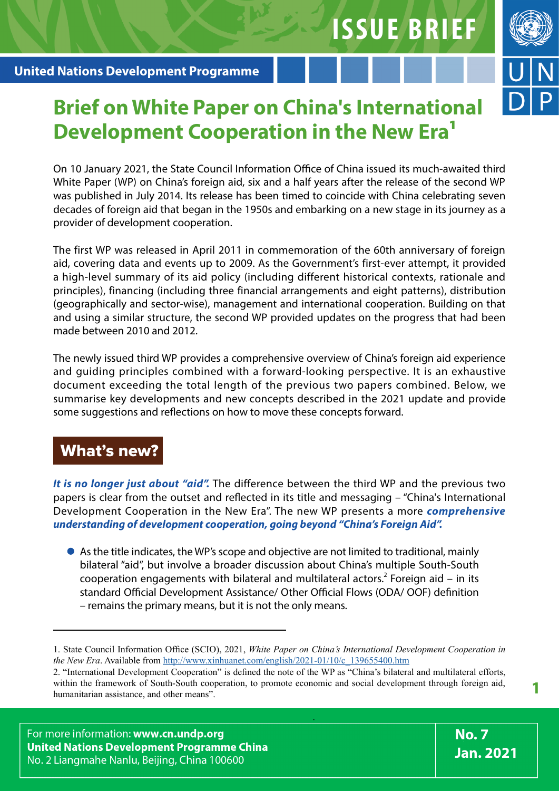

# **Brief on White Paper on China's International Development Cooperation in the New Era1**

On 10 January 2021, the State Council Information Office of China issued its much-awaited third White Paper (WP) on China's foreign aid, six and a half years after the release of the second WP was published in July 2014. Its release has been timed to coincide with China celebrating seven decades of foreign aid that began in the 1950s and embarking on a new stage in its journey as a provider of development cooperation.

The first WP was released in April 2011 in commemoration of the 60th anniversary of foreign aid, covering data and events up to 2009. As the Government's first-ever attempt, it provided a high-level summary of its aid policy (including different historical contexts, rationale and principles), financing (including three financial arrangements and eight patterns), distribution (geographically and sector-wise), management and international cooperation. Building on that and using a similar structure, the second WP provided updates on the progress that had been made between 2010 and 2012.

The newly issued third WP provides a comprehensive overview of China's foreign aid experience and guiding principles combined with a forward-looking perspective. It is an exhaustive document exceeding the total length of the previous two papers combined. Below, we summarise key developments and new concepts described in the 2021 update and provide some suggestions and reflections on how to move these concepts forward.

## What's new?

*It is no longer just about "aid".* The difference between the third WP and the previous two papers is clear from the outset and reflected in its title and messaging – "China's International Development Cooperation in the New Era". The new WP presents a more *comprehensive understanding of development cooperation, going beyond "China's Foreign Aid".* 

As the title indicates, the WP's scope and objective are not limited to traditional, mainly bilateral "aid", but involve a broader discussion about China's multiple South-South cooperation engagements with bilateral and multilateral actors.<sup>2</sup> Foreign aid  $-$  in its standard Official Development Assistance/ Other Official Flows (ODA/ OOF) definition – remains the primary means, but it is not the only means.

<sup>1.</sup> State Council Information Office (SCIO), 2021, *White Paper on China's International Development Cooperation in the New Era*. Available from [http://www.xinhuanet.com/english/2021-01/10/c\\_139655400.htm](http://www.xinhuanet.com/english/2021-01/10/c_139655400.htm)

<sup>2. &</sup>quot;International Development Cooperation" is defined the note of the WP as "China's bilateral and multilateral efforts, within the framework of South-South cooperation, to promote economic and social development through foreign aid,<br>humanitarian assistance, and other means".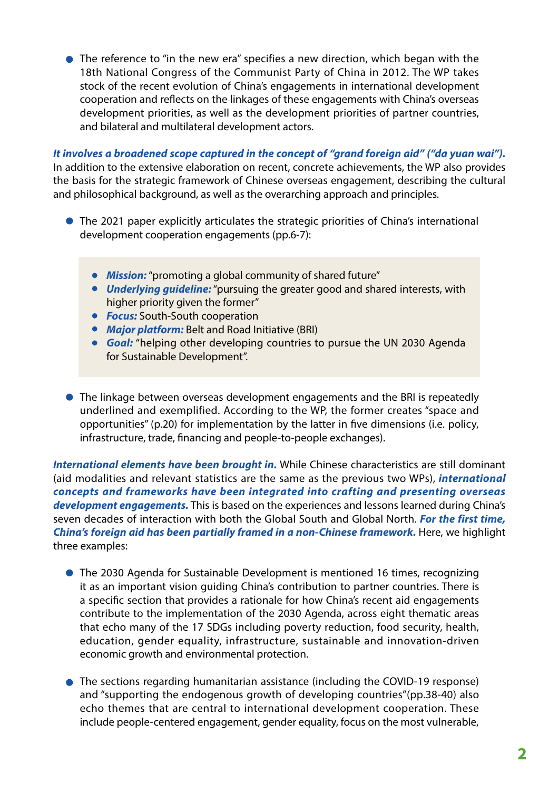The reference to "in the new era" specifies a new direction, which began with the 18th National Congress of the Communist Party of China in 2012. The WP takes stock of the recent evolution of China's engagements in international development cooperation and reflects on the linkages of these engagements with China's overseas development priorities, as well as the development priorities of partner countries, and bilateral and multilateral development actors.

*It involves a broadened scope captured in the concept of "grand foreign aid" ("da yuan wai").* 

In addition to the extensive elaboration on recent, concrete achievements, the WP also provides the basis for the strategic framework of Chinese overseas engagement, describing the cultural and philosophical background, as well as the overarching approach and principles.

- The 2021 paper explicitly articulates the strategic priorities of China's international development cooperation engagements (pp.6-7):
	- *Mission:* "promoting a global community of shared future"
	- *Underlying guideline:* "pursuing the greater good and shared interests, with higher priority given the former"
	- *Focus:* South-South cooperation
	- *Major platform:* Belt and Road Initiative (BRI)
	- *Goal:* "helping other developing countries to pursue the UN 2030 Agenda for Sustainable Development".
- The linkage between overseas development engagements and the BRI is repeatedly underlined and exemplified. According to the WP, the former creates "space and opportunities" (p.20) for implementation by the latter in five dimensions (i.e. policy, infrastructure, trade, financing and people-to-people exchanges).

*International elements have been brought in.* While Chinese characteristics are still dominant (aid modalities and relevant statistics are the same as the previous two WPs), *international concepts and frameworks have been integrated into crafting and presenting overseas development engagements.* This is based on the experiences and lessons learned during China's seven decades of interaction with both the Global South and Global North. *For the first time, China's foreign aid has been partially framed in a non-Chinese framework*. Here, we highlight three examples:

- The 2030 Agenda for Sustainable Development is mentioned 16 times, recognizing it as an important vision guiding China's contribution to partner countries. There is a specific section that provides a rationale for how China's recent aid engagements contribute to the implementation of the 2030 Agenda, across eight thematic areas that echo many of the 17 SDGs including poverty reduction, food security, health, education, gender equality, infrastructure, sustainable and innovation-driven economic growth and environmental protection.
- The sections regarding humanitarian assistance (including the COVID-19 response) and "supporting the endogenous growth of developing countries"(pp.38-40) also echo themes that are central to international development cooperation. These include people-centered engagement, gender equality, focus on the most vulnerable,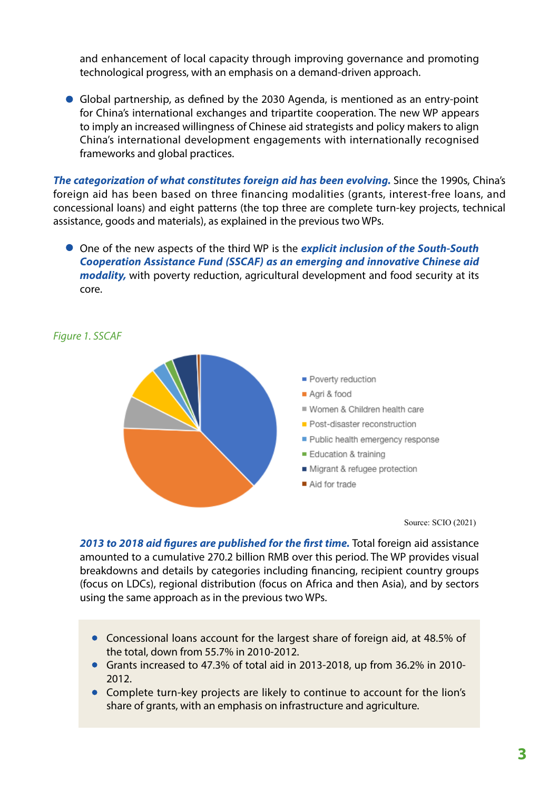and enhancement of local capacity through improving governance and promoting technological progress, with an emphasis on a demand-driven approach.

Global partnership, as defined by the 2030 Agenda, is mentioned as an entry-point for China's international exchanges and tripartite cooperation. The new WP appears to imply an increased willingness of Chinese aid strategists and policy makers to align China's international development engagements with internationally recognised frameworks and global practices.

*The categorization of what constitutes foreign aid has been evolving.* Since the 1990s, China's foreign aid has been based on three financing modalities (grants, interest-free loans, and concessional loans) and eight patterns (the top three are complete turn-key projects, technical assistance, goods and materials), as explained in the previous two WPs.

One of the new aspects of the third WP is the *explicit inclusion of the South-South Cooperation Assistance Fund (SSCAF) as an emerging and innovative Chinese aid modality,* with poverty reduction, agricultural development and food security at its core.

*Figure 1. SSCAF*



Source: SCIO (2021)

2013 to 2018 aid figures are published for the first time. Total foreign aid assistance amounted to a cumulative 270.2 billion RMB over this period. The WP provides visual breakdowns and details by categories including financing, recipient country groups (focus on LDCs), regional distribution (focus on Africa and then Asia), and by sectors using the same approach as in the previous two WPs.

- Concessional loans account for the largest share of foreign aid, at 48.5% of the total, down from 55.7% in 2010-2012.
- Grants increased to 47.3% of total aid in 2013-2018, up from 36.2% in 2010- 2012.
- Complete turn-key projects are likely to continue to account for the lion's share of grants, with an emphasis on infrastructure and agriculture.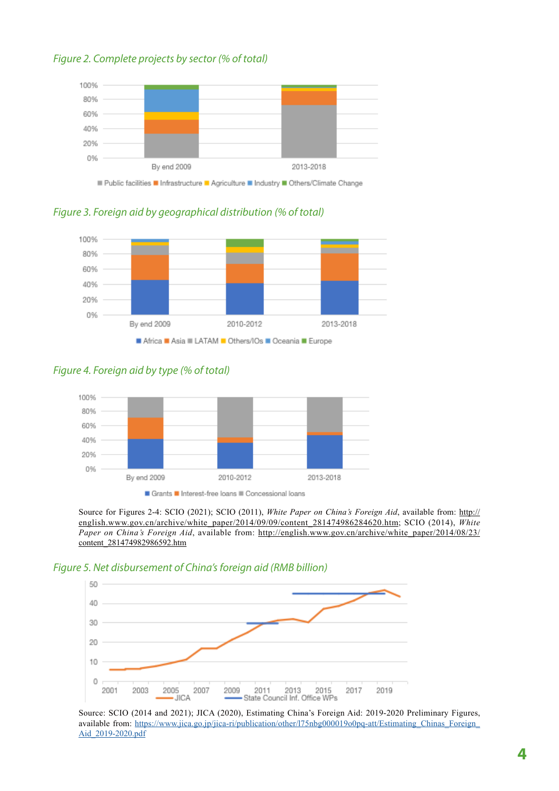#### *Figure 2. Complete projects by sector (% of total)*



*Figure 3. Foreign aid by geographical distribution (% of total)*



*Figure 4. Foreign aid by type (% of total)* 



Source for Figures 2-4: SCIO (2021); SCIO (2011), *White Paper on China's Foreign Aid*, available from: [http://](http://english.www.gov.cn/archive/white_paper/2014/09/09/content_281474986284620.htm) [english.www.gov.cn/archive/white\\_paper/2014/09/09/content\\_281474986284620.htm;](http://english.www.gov.cn/archive/white_paper/2014/09/09/content_281474986284620.htm) SCIO (2014), *White Paper on China's Foreign Aid*, available from: [http://english.www.gov.cn/archive/white\\_paper/2014/08/23/](http://english.www.gov.cn/archive/white_paper/2014/08/23/content_281474982986592.htm) [content\\_281474982986592.htm](http://english.www.gov.cn/archive/white_paper/2014/08/23/content_281474982986592.htm)

#### *Figure 5. Net disbursement of China's foreign aid (RMB billion)*



Source: SCIO (2014 and 2021); JICA (2020), Estimating China's Foreign Aid: 2019-2020 Preliminary Figures, available from: [https://www.jica.go.jp/jica-ri/publication/other/l75nbg000019o0pq-att/Estimating\\_Chinas\\_Foreign\\_](https://www.jica.go.jp/jica-ri/publication/other/l75nbg000019o0pq-att/Estimating_Chinas_Foreign_Aid_2019-2020.pdf) [Aid\\_2019-2020.pdf](https://www.jica.go.jp/jica-ri/publication/other/l75nbg000019o0pq-att/Estimating_Chinas_Foreign_Aid_2019-2020.pdf)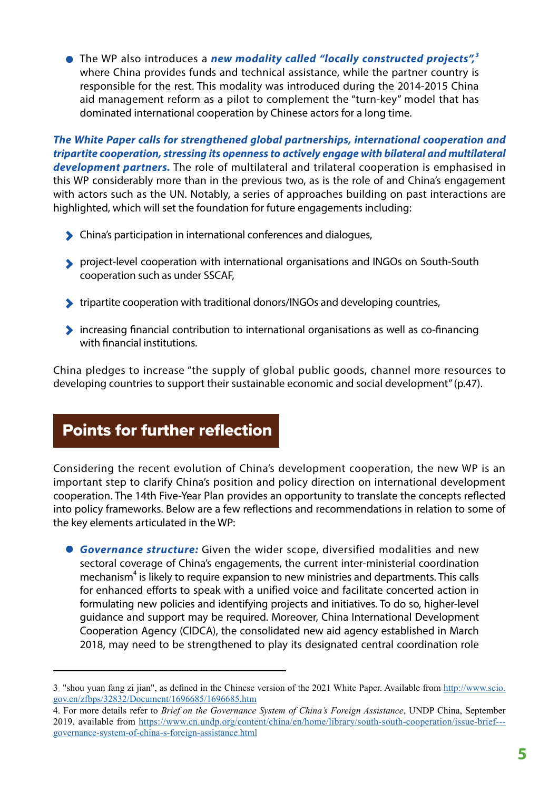The WP also introduces a *new modality called "locally constructed projects",<sup>3</sup>* where China provides funds and technical assistance, while the partner country is responsible for the rest. This modality was introduced during the 2014-2015 China aid management reform as a pilot to complement the "turn-key" model that has dominated international cooperation by Chinese actors for a long time.

*The White Paper calls for strengthened global partnerships, international cooperation and tripartite cooperation, stressing its openness to actively engage with bilateral and multilateral development partners.* The role of multilateral and trilateral cooperation is emphasised in this WP considerably more than in the previous two, as is the role of and China's engagement with actors such as the UN. Notably, a series of approaches building on past interactions are highlighted, which will set the foundation for future engagements including:

- China's participation in international conferences and dialogues,
- project-level cooperation with international organisations and INGOs on South-South cooperation such as under SSCAF,
- tripartite cooperation with traditional donors/INGOs and developing countries,
- increasing financial contribution to international organisations as well as co-financing with financial institutions.

China pledges to increase "the supply of global public goods, channel more resources to developing countries to support their sustainable economic and social development" (p.47).

### Points for further reflection

Considering the recent evolution of China's development cooperation, the new WP is an important step to clarify China's position and policy direction on international development cooperation. The 14th Five-Year Plan provides an opportunity to translate the concepts reflected into policy frameworks. Below are a few reflections and recommendations in relation to some of the key elements articulated in the WP:

*Governance structure:* Given the wider scope, diversified modalities and new sectoral coverage of China's engagements, the current inter-ministerial coordination mechanism<sup>4</sup> is likely to require expansion to new ministries and departments. This calls for enhanced efforts to speak with a unified voice and facilitate concerted action in formulating new policies and identifying projects and initiatives. To do so, higher-level guidance and support may be required. Moreover, China International Development Cooperation Agency (CIDCA), the consolidated new aid agency established in March 2018, may need to be strengthened to play its designated central coordination role

<sup>3</sup>. "shou yuan fang zi jian", as defined in the Chinese version of the 2021 White Paper. Available from [http://www.scio.](http://www.scio.gov.cn/zfbps/32832/Document/1696685/1696685.htm) [gov.cn/zfbps/32832/Document/1696685/1696685.htm](http://www.scio.gov.cn/zfbps/32832/Document/1696685/1696685.htm)

<sup>4.</sup> For more details refer to *Brief on the Governance System of China's Foreign Assistance*, UNDP China, September 2019, available from [https://www.cn.undp.org/content/china/en/home/library/south-south-cooperation/issue-brief--](https://www.cn.undp.org/content/china/en/home/library/south-south-cooperation/issue-brief---governance-system-of-china-s-foreign-assistance.html) [governance-system-of-china-s-foreign-assistance.html](https://www.cn.undp.org/content/china/en/home/library/south-south-cooperation/issue-brief---governance-system-of-china-s-foreign-assistance.html)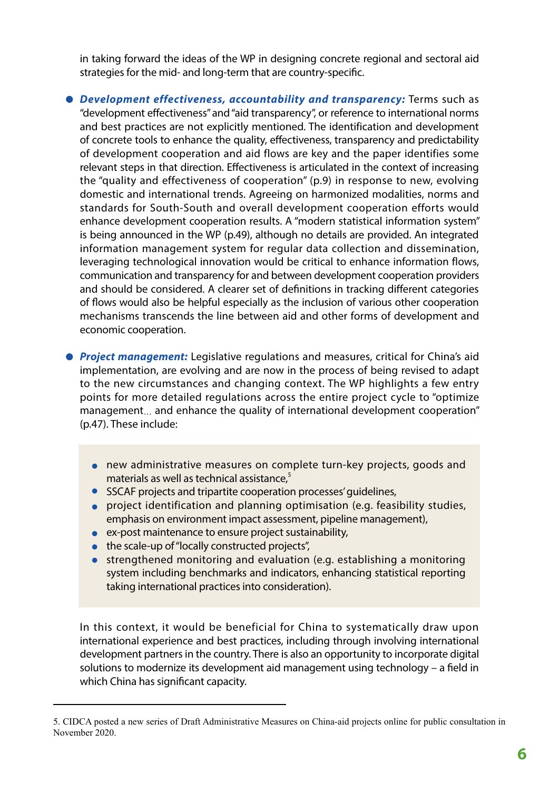in taking forward the ideas of the WP in designing concrete regional and sectoral aid strategies for the mid- and long-term that are country-specific.

- *Development effectiveness, accountability and transparency:* Terms such as "development effectiveness" and "aid transparency", or reference to international norms and best practices are not explicitly mentioned. The identification and development of concrete tools to enhance the quality, effectiveness, transparency and predictability of development cooperation and aid flows are key and the paper identifies some relevant steps in that direction. Effectiveness is articulated in the context of increasing the "quality and effectiveness of cooperation" (p.9) in response to new, evolving domestic and international trends. Agreeing on harmonized modalities, norms and standards for South-South and overall development cooperation efforts would enhance development cooperation results. A "modern statistical information system" is being announced in the WP (p.49), although no details are provided. An integrated information management system for regular data collection and dissemination, leveraging technological innovation would be critical to enhance information flows, communication and transparency for and between development cooperation providers and should be considered. A clearer set of definitions in tracking different categories of flows would also be helpful especially as the inclusion of various other cooperation mechanisms transcends the line between aid and other forms of development and economic cooperation.
- **Project management:** Legislative regulations and measures, critical for China's aid implementation, are evolving and are now in the process of being revised to adapt to the new circumstances and changing context. The WP highlights a few entry points for more detailed regulations across the entire project cycle to "optimize management... and enhance the quality of international development cooperation" (p.47). These include:
	- new administrative measures on complete turn-key projects, goods and materials as well as technical assistance. $5$
	- **•** SSCAF projects and tripartite cooperation processes' quidelines,
	- project identification and planning optimisation (e.g. feasibility studies, emphasis on environment impact assessment, pipeline management),
	- ex-post maintenance to ensure project sustainability,
	- the scale-up of "locally constructed projects",
	- strengthened monitoring and evaluation (e.g. establishing a monitoring system including benchmarks and indicators, enhancing statistical reporting taking international practices into consideration).

In this context, it would be beneficial for China to systematically draw upon international experience and best practices, including through involving international development partners in the country. There is also an opportunity to incorporate digital solutions to modernize its development aid management using technology – a field in which China has significant capacity.

<sup>5.</sup> CIDCA posted a new series of Draft Administrative Measures on China-aid projects online for public consultation in November 2020.